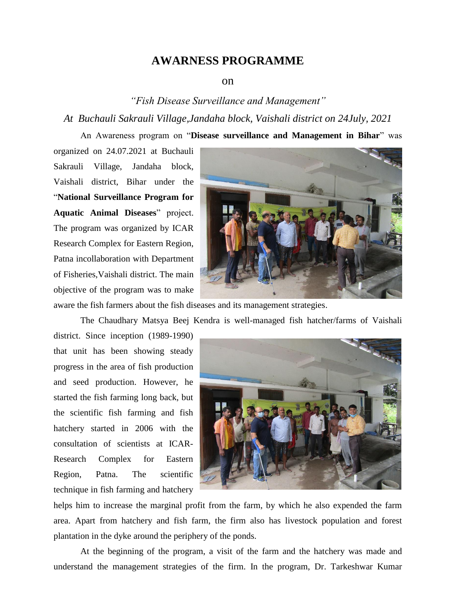## **AWARNESS PROGRAMME**

## on

## *"Fish Disease Surveillance and Management" At Buchauli Sakrauli Village,Jandaha block, Vaishali district on 24July, 2021*

An Awareness program on "**Disease surveillance and Management in Bihar**" was

organized on 24.07.2021 at Buchauli Sakrauli Village, Jandaha block, Vaishali district, Bihar under the "**National Surveillance Program for Aquatic Animal Diseases**" project. The program was organized by ICAR Research Complex for Eastern Region, Patna incollaboration with Department of Fisheries,Vaishali district. The main objective of the program was to make



aware the fish farmers about the fish diseases and its management strategies.

The Chaudhary Matsya Beej Kendra is well-managed fish hatcher/farms of Vaishali

district. Since inception (1989-1990) that unit has been showing steady progress in the area of fish production and seed production. However, he started the fish farming long back, but the scientific fish farming and fish hatchery started in 2006 with the consultation of scientists at ICAR-Research Complex for Eastern Region, Patna. The scientific technique in fish farming and hatchery



helps him to increase the marginal profit from the farm, by which he also expended the farm area. Apart from hatchery and fish farm, the firm also has livestock population and forest plantation in the dyke around the periphery of the ponds.

At the beginning of the program, a visit of the farm and the hatchery was made and understand the management strategies of the firm. In the program, Dr. Tarkeshwar Kumar